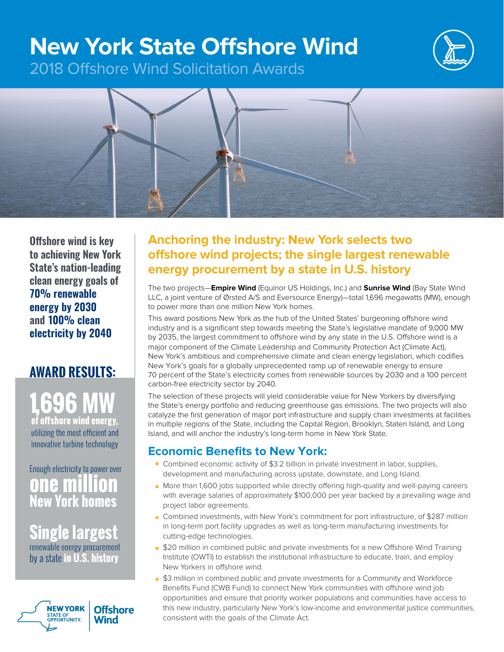# **New York State Offshore Wind**



2018 Offshore Wind Solicitation Awards



**Offshore wind is key to achieving New York State's nation-leading clean energy goals of 70% renewable energy by 2030 and 100% clean electricity by 2040**

### **AWARD RESULTS:**

**1,696 MW of offshore wind energy,**  utilizing the most efficient and innovative turbine technology

### Enough electricity to power over **one million New York homes**

**Single largest**  renewable energy procurement by a state **in U.S. history**



### **Anchoring the industry: New York selects two offshore wind projects; the single largest renewable energy procurement by a state in U.S. history**

The two projects—**Empire Wind** (Equinor US Holdings, Inc.) and **Sunrise Wind** (Bay State Wind LLC, a joint venture of Ørsted A/S and Eversource Energy)—total 1,696 megawatts (MW), enough to power more than one million New York homes.

This award positions New York as the hub of the United States' burgeoning offshore wind industry and is a significant step towards meeting the State's legislative mandate of 9,000 MW by 2035, the largest commitment to offshore wind by any state in the U.S. Offshore wind is a major component of the Climate Leadership and Community Protection Act (Climate Act), New York's ambitious and comprehensive climate and clean energy legislation, which codifies New York's goals for a globally unprecedented ramp up of renewable energy to ensure 70 percent of the State's electricity comes from renewable sources by 2030 and a 100 percent carbon-free electricity sector by 2040.

The selection of these projects will yield considerable value for New Yorkers by diversifying the State's energy portfolio and reducing greenhouse gas emissions. The two projects will also catalyze the first generation of major port infrastructure and supply chain investments at facilities in multiple regions of the State, including the Capital Region, Brooklyn, Staten Island, and Long Island, and will anchor the industry's long-term home in New York State.

### **Economic Benefits to New York:**

- Combined economic activity of \$3.2 billion in private investment in labor, supplies, development and manufacturing across upstate, downstate, and Long Island.
- More than 1,600 jobs supported while directly offering high-quality and well-paying careers with average salaries of approximately \$100,000 per year backed by a prevailing wage and project labor agreements.
- Combined investments, with New York's commitment for port infrastructure, of \$287 million in long-term port facility upgrades as well as long-term manufacturing investments for cutting-edge technologies.
- \$20 million in combined public and private investments for a new Offshore Wind Training Institute (OWTI) to establish the institutional infrastructure to educate, train, and employ New Yorkers in offshore wind.
- \$3 million in combined public and private investments for a Community and Workforce Benefits Fund (CWB Fund) to connect New York communities with offshore wind job opportunities and ensure that priority worker populations and communities have access to this new industry, particularly New York's low-income and environmental justice communities, consistent with the goals of the Climate Act.